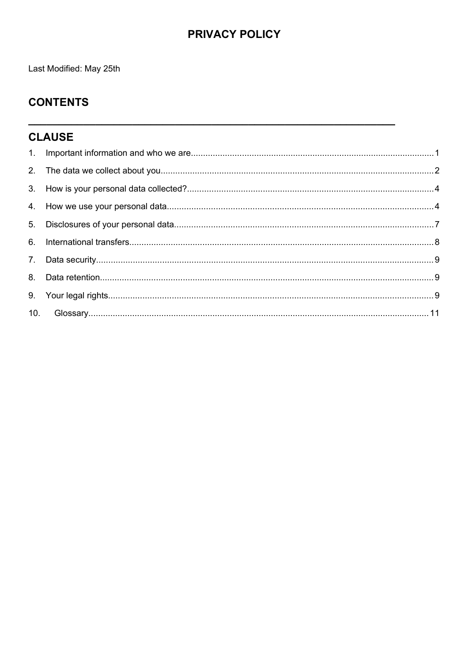# **PRIVACY POLICY**

Last Modified: May 25th

# **CONTENTS**

# **CLAUSE**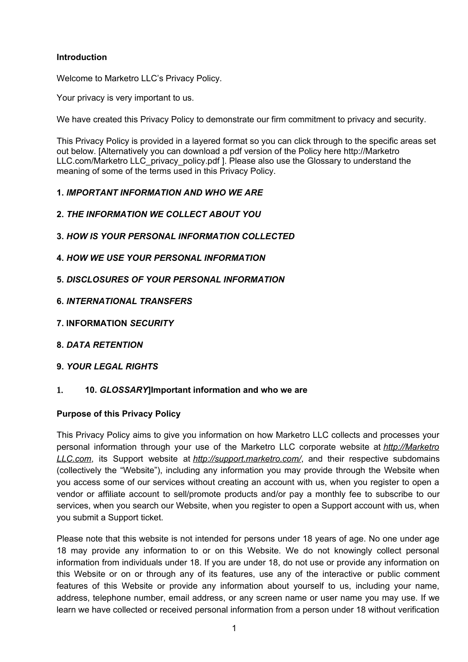# **Introduction**

Welcome to Marketro LLC's Privacy Policy.

Your privacy is very important to us.

We have created this Privacy Policy to demonstrate our firm commitment to privacy and security.

This Privacy Policy is provided in a layered format so you can click through to the specific areas set out below. [Alternatively you can download a pdf version of the Policy here http://Marketro LLC.com/Marketro LLC\_privacy\_policy.pdf ]. Please also use the Glossary to understand the meaning of some of the terms used in this Privacy Policy.

### **1.** *IMPORTANT INFORMATION AND WHO WE ARE*

- **2.** *THE INFORMATION WE COLLECT ABOUT YOU*
- **3.** *HOW IS YOUR PERSONAL INFORMATION COLLECTED*
- **4.** *HOW WE USE YOUR PERSONAL INFORMATION*
- **5.** *DISCLOSURES OF YOUR PERSONAL INFORMATION*
- **6.** *INTERNATIONAL TRANSFERS*
- **7. INFORMATION** *SECURITY*
- **8.** *DATA RETENTION*
- **9.** *YOUR LEGAL RIGHTS*

#### <span id="page-1-0"></span>1. **10.** *GLOSSARY***]Important information and who we are**

#### **Purpose of this Privacy Policy**

This Privacy Policy aims to give you information on how Marketro LLC collects and processes your personal information through your use of the Marketro LLC corporate website at *[http://Marketro](http://paydotcom.com/) [LLC.com](http://paydotcom.com/)*, its Support website at *[http://support.marketro.com/](http://support.paydotcom.com/support/home)*, and their respective subdomains (collectively the "Website"), including any information you may provide through the Website when you access some of our services without creating an account with us, when you register to open a vendor or affiliate account to sell/promote products and/or pay a monthly fee to subscribe to our services, when you search our Website, when you register to open a Support account with us, when you submit a Support ticket.

Please note that this website is not intended for persons under 18 years of age. No one under age 18 may provide any information to or on this Website. We do not knowingly collect personal information from individuals under 18. If you are under 18, do not use or provide any information on this Website or on or through any of its features, use any of the interactive or public comment features of this Website or provide any information about yourself to us, including your name, address, telephone number, email address, or any screen name or user name you may use. If we learn we have collected or received personal information from a person under 18 without verification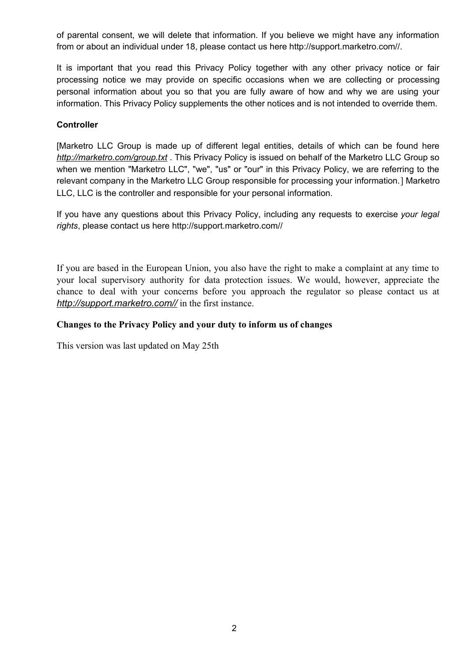of parental consent, we will delete that information. If you believe we might have any information from or about an individual under 18, please contact us here http://support.marketro.com//.

It is important that you read this Privacy Policy together with any other privacy notice or fair processing notice we may provide on specific occasions when we are collecting or processing personal information about you so that you are fully aware of how and why we are using your information. This Privacy Policy supplements the other notices and is not intended to override them.

## **Controller**

[Marketro LLC Group is made up of different legal entities, details of which can be found here *[http://marketro.com/group.txt](http://paydotcom.com/group.txt)* . This Privacy Policy is issued on behalf of the Marketro LLC Group so when we mention "Marketro LLC", "we", "us" or "our" in this Privacy Policy, we are referring to the relevant company in the Marketro LLC Group responsible for processing your information.] Marketro LLC, LLC is the controller and responsible for your personal information.

If you have any questions about this Privacy Policy, including any requests to exercise *your legal rights*, please contact us here http://support.marketro.com//

If you are based in the European Union, you also have the right to make a complaint at any time to your local supervisory authority for data protection issues. We would, however, appreciate the chance to deal with your concerns before you approach the regulator so please contact us at *[http://support.marketro.com//](http://support.paydotcom.com/)* in the first instance.

#### **Changes to the Privacy Policy and your duty to inform us of changes**

This version was last updated on May 25th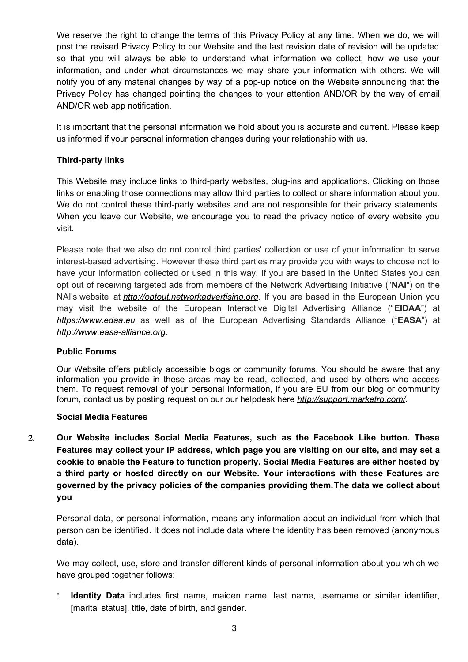We reserve the right to change the terms of this Privacy Policy at any time. When we do, we will post the revised Privacy Policy to our Website and the last revision date of revision will be updated so that you will always be able to understand what information we collect, how we use your information, and under what circumstances we may share your information with others. We will notify you of any material changes by way of a pop-up notice on the Website announcing that the Privacy Policy has changed pointing the changes to your attention AND/OR by the way of email AND/OR web app notification.

It is important that the personal information we hold about you is accurate and current. Please keep us informed if your personal information changes during your relationship with us.

# **Third-party links**

This Website may include links to third-party websites, plug-ins and applications. Clicking on those links or enabling those connections may allow third parties to collect or share information about you. We do not control these third-party websites and are not responsible for their privacy statements. When you leave our Website, we encourage you to read the privacy notice of every website you visit.

Please note that we also do not control third parties' collection or use of your information to serve interest-based advertising. However these third parties may provide you with ways to choose not to have your information collected or used in this way. If you are based in the United States you can opt out of receiving targeted ads from members of the Network Advertising Initiative ("**NAI**") on the NAI's website at *[http://optout.networkadvertising.org](http://optout.networkadvertising.org/)*. If you are based in the European Union you may visit the website of the European Interactive Digital Advertising Alliance ("**EIDAA**") at *[https://www.edaa.eu](https://www.edaa.eu/)* as well as of the European Advertising Standards Alliance ("**EASA**") at *[http://www.easa-alliance.org](http://www.easa-alliance.org/)*.

# **Public Forums**

Our Website offers publicly accessible blogs or community forums. You should be aware that any information you provide in these areas may be read, collected, and used by others who access them. To request removal of your personal information, if you are EU from our blog or community forum, contact us by posting request on our our helpdesk here *[http://support.marketro.com/](http://support.paydotcom.com/)*.

#### **Social Media Features**

2. **Our Website includes Social Media Features, such as the Facebook Like button. These Features may collect your IP address, which page you are visiting on our site, and may set a cookie to enable the Feature to function properly. Social Media Features are either hosted by a third party or hosted directly on our Website. Your interactions with these Features are governed by the privacy policies of the companies providing them.The data we collect about you**

<span id="page-3-0"></span>Personal data, or personal information, means any information about an individual from which that person can be identified. It does not include data where the identity has been removed (anonymous data).

We may collect, use, store and transfer different kinds of personal information about you which we have grouped together follows:

 **Identity Data** includes first name, maiden name, last name, username or similar identifier, [marital status], title, date of birth, and gender.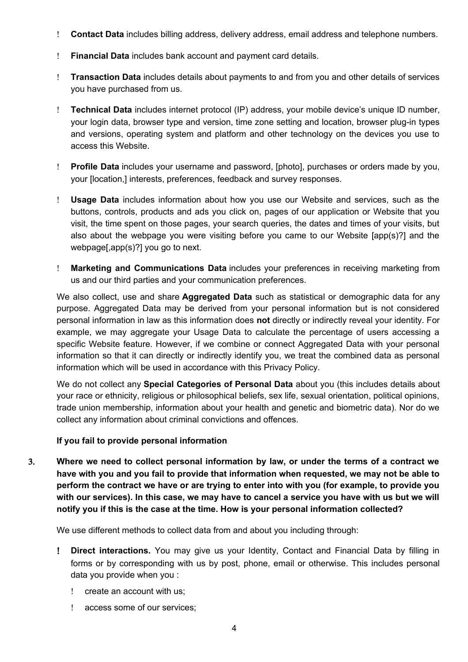- **Contact Data** includes billing address, delivery address, email address and telephone numbers.
- **Financial Data** includes bank account and payment card details.
- **Transaction Data** includes details about payments to and from you and other details of services you have purchased from us.
- **Technical Data** includes internet protocol (IP) address, your mobile device's unique ID number, your login data, browser type and version, time zone setting and location, browser plug-in types and versions, operating system and platform and other technology on the devices you use to access this Website.
- **Profile Data** includes your username and password, [photo], purchases or orders made by you, your [location,] interests, preferences, feedback and survey responses.
- **Usage Data** includes information about how you use our Website and services, such as the buttons, controls, products and ads you click on, pages of our application or Website that you visit, the time spent on those pages, your search queries, the dates and times of your visits, but also about the webpage you were visiting before you came to our Website [app(s)?] and the webpage[,app(s)?] you go to next.
- **Marketing and Communications Data** includes your preferences in receiving marketing from us and our third parties and your communication preferences.

We also collect, use and share **Aggregated Data** such as statistical or demographic data for any purpose. Aggregated Data may be derived from your personal information but is not considered personal information in law as this information does **not** directly or indirectly reveal your identity. For example, we may aggregate your Usage Data to calculate the percentage of users accessing a specific Website feature. However, if we combine or connect Aggregated Data with your personal information so that it can directly or indirectly identify you, we treat the combined data as personal information which will be used in accordance with this Privacy Policy.

We do not collect any **Special Categories of Personal Data** about you (this includes details about your race or ethnicity, religious or philosophical beliefs, sex life, sexual orientation, political opinions, trade union membership, information about your health and genetic and biometric data). Nor do we collect any information about criminal convictions and offences.

# **If you fail to provide personal information**

3. **Where we need to collect personal information by law, or under the terms of a contract we have with you and you fail to provide that information when requested, we may not be able to perform the contract we have or are trying to enter into with you (for example, to provide you with our services). In this case, we may have to cancel a service you have with us but we will notify you if this is the case at the time. How is your personal information collected?**

<span id="page-4-0"></span>We use different methods to collect data from and about you including through:

- **Direct interactions.** You may give us your Identity, Contact and Financial Data by filling in forms or by corresponding with us by post, phone, email or otherwise. This includes personal data you provide when you :
	- create an account with us;
	- access some of our services;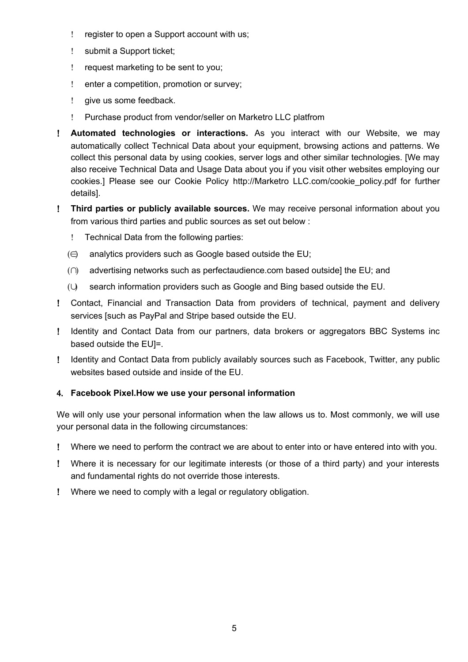- register to open a Support account with us;
- submit a Support ticket;
- request marketing to be sent to you;
- enter a competition, promotion or survey;
- ! give us some feedback.
- Purchase product from vendor/seller on Marketro LLC platfrom
- **Automated technologies or interactions.** As you interact with our Website, we may automatically collect Technical Data about your equipment, browsing actions and patterns. We collect this personal data by using cookies, server logs and other similar technologies. [We may also receive Technical Data and Usage Data about you if you visit other websites employing our cookies.] Please see our Cookie Policy http://Marketro LLC.com/cookie\_policy.pdf for further details].
- **Third parties or publicly available sources.** We may receive personal information about you from various third parties and public sources as set out below :
	- Technical Data from the following parties:
	- $(\ominus)$  analytics providers such as Google based outside the EU;
	- $( \cap )$  advertising networks such as perfectaudience.com based outside] the EU; and
	- (U) search information providers such as Google and Bing based outside the EU.
- Contact, Financial and Transaction Data from providers of technical, payment and delivery services [such as PayPal and Stripe based outside the EU.
- Identity and Contact Data from our partners, data brokers or aggregators BBC Systems inc based outside the EU]=.
- Identity and Contact Data from publicly availably sources such as Facebook, Twitter, any public websites based outside and inside of the EU.

# <span id="page-5-0"></span>4. **Facebook Pixel.How we use your personal information**

We will only use your personal information when the law allows us to. Most commonly, we will use your personal data in the following circumstances:

- Where we need to perform the contract we are about to enter into or have entered into with you.
- Where it is necessary for our legitimate interests (or those of a third party) and your interests and fundamental rights do not override those interests.
- Where we need to comply with a legal or regulatory obligation.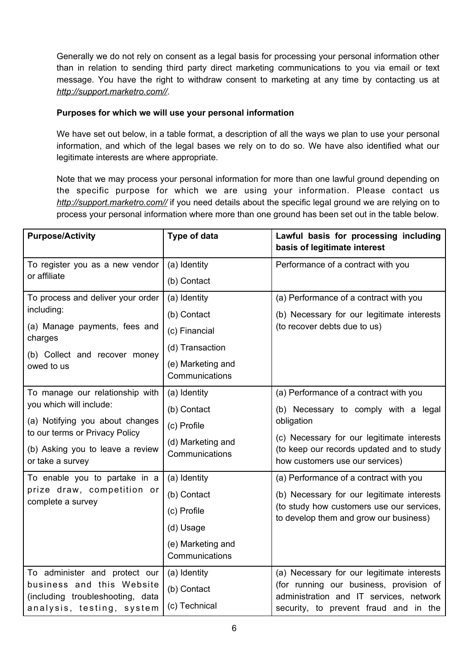Generally we do not rely on consent as a legal basis for processing your personal information other than in relation to sending third party direct marketing communications to you via email or text message. You have the right to withdraw consent to marketing at any time by contacting us at *http://support.marketro.com//*.

## **Purposes for which we will use your personal information**

We have set out below, in a table format, a description of all the ways we plan to use your personal information, and which of the legal bases we rely on to do so. We have also identified what our legitimate interests are where appropriate.

Note that we may process your personal information for more than one lawful ground depending on the specific purpose for which we are using your information. Please contact us *http://support.marketro.com//* if you need details about the specific legal ground we are relying on to process your personal information where more than one ground has been set out in the table below.

| <b>Purpose/Activity</b>                                                                     | Type of data                        | Lawful basis for processing including<br>basis of legitimate interest                                                             |
|---------------------------------------------------------------------------------------------|-------------------------------------|-----------------------------------------------------------------------------------------------------------------------------------|
| To register you as a new vendor                                                             | (a) Identity                        | Performance of a contract with you                                                                                                |
| or affiliate                                                                                | (b) Contact                         |                                                                                                                                   |
| To process and deliver your order<br>including:<br>(a) Manage payments, fees and<br>charges | (a) Identity                        | (a) Performance of a contract with you                                                                                            |
|                                                                                             | (b) Contact                         | (b) Necessary for our legitimate interests<br>(to recover debts due to us)                                                        |
|                                                                                             | (c) Financial                       |                                                                                                                                   |
| (b) Collect and recover money<br>owed to us                                                 | (d) Transaction                     |                                                                                                                                   |
|                                                                                             | (e) Marketing and<br>Communications |                                                                                                                                   |
| To manage our relationship with                                                             | (a) Identity                        | (a) Performance of a contract with you                                                                                            |
| you which will include:                                                                     | (b) Contact                         | (b) Necessary to comply with a legal<br>obligation                                                                                |
| (a) Notifying you about changes<br>to our terms or Privacy Policy                           | (c) Profile                         |                                                                                                                                   |
| (b) Asking you to leave a review<br>or take a survey                                        | (d) Marketing and                   | (c) Necessary for our legitimate interests<br>(to keep our records updated and to study                                           |
|                                                                                             | Communications                      | how customers use our services)                                                                                                   |
| To enable you to partake in a                                                               | (a) Identity                        | (a) Performance of a contract with you                                                                                            |
| prize draw, competition or<br>complete a survey                                             | (b) Contact                         | (b) Necessary for our legitimate interests<br>(to study how customers use our services,<br>to develop them and grow our business) |
|                                                                                             | (c) Profile                         |                                                                                                                                   |
|                                                                                             | (d) Usage                           |                                                                                                                                   |
|                                                                                             | (e) Marketing and                   |                                                                                                                                   |
|                                                                                             | Communications                      |                                                                                                                                   |
| To administer and protect our<br>business and this Website                                  | (a) Identity                        | (a) Necessary for our legitimate interests<br>(for running our business, provision of<br>administration and IT services, network  |
| (including troubleshooting, data                                                            | (b) Contact                         |                                                                                                                                   |
| analysis, testing, system                                                                   | (c) Technical                       | security, to prevent fraud and in the                                                                                             |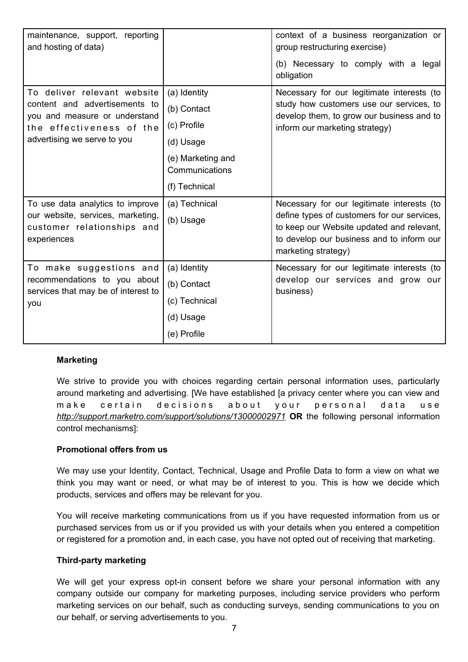| maintenance, support, reporting<br>and hosting of data)                        |                                     | context of a business reorganization or<br>group restructuring exercise)<br>(b) Necessary to comply with a legal                                                                                           |
|--------------------------------------------------------------------------------|-------------------------------------|------------------------------------------------------------------------------------------------------------------------------------------------------------------------------------------------------------|
|                                                                                |                                     | obligation                                                                                                                                                                                                 |
| To deliver relevant website                                                    | (a) Identity                        | Necessary for our legitimate interests (to<br>study how customers use our services, to<br>develop them, to grow our business and to<br>inform our marketing strategy)                                      |
| content and advertisements to<br>you and measure or understand                 | (b) Contact                         |                                                                                                                                                                                                            |
| the effectiveness of the                                                       | (c) Profile                         |                                                                                                                                                                                                            |
| advertising we serve to you                                                    | (d) Usage                           |                                                                                                                                                                                                            |
|                                                                                | (e) Marketing and<br>Communications |                                                                                                                                                                                                            |
|                                                                                | (f) Technical                       |                                                                                                                                                                                                            |
| To use data analytics to improve                                               | (a) Technical                       | Necessary for our legitimate interests (to<br>define types of customers for our services,<br>to keep our Website updated and relevant,<br>to develop our business and to inform our<br>marketing strategy) |
| our website, services, marketing,<br>customer relationships and<br>experiences | (b) Usage                           |                                                                                                                                                                                                            |
| To make suggestions and                                                        | (a) Identity                        | Necessary for our legitimate interests (to<br>develop our services and grow our<br>business)                                                                                                               |
| recommendations to you about<br>services that may be of interest to            | (b) Contact                         |                                                                                                                                                                                                            |
| you                                                                            | (c) Technical                       |                                                                                                                                                                                                            |
|                                                                                | (d) Usage                           |                                                                                                                                                                                                            |
|                                                                                | (e) Profile                         |                                                                                                                                                                                                            |

# **Marketing**

We strive to provide you with choices regarding certain personal information uses, particularly around marketing and advertising. [We have established [a privacy center where you can view and make certain decisions about your personal data use *http://support.marketro.com/support/solutions/13000002971* **OR** the following personal information control mechanisms]:

# **Promotional offers from us**

We may use your Identity, Contact, Technical, Usage and Profile Data to form a view on what we think you may want or need, or what may be of interest to you. This is how we decide which products, services and offers may be relevant for you.

You will receive marketing communications from us if you have requested information from us or purchased services from us or if you provided us with your details when you entered a competition or registered for a promotion and, in each case, you have not opted out of receiving that marketing.

#### **Third-party marketing**

We will get your express opt-in consent before we share your personal information with any company outside our company for marketing purposes, including service providers who perform marketing services on our behalf, such as conducting surveys, sending communications to you on our behalf, or serving advertisements to you.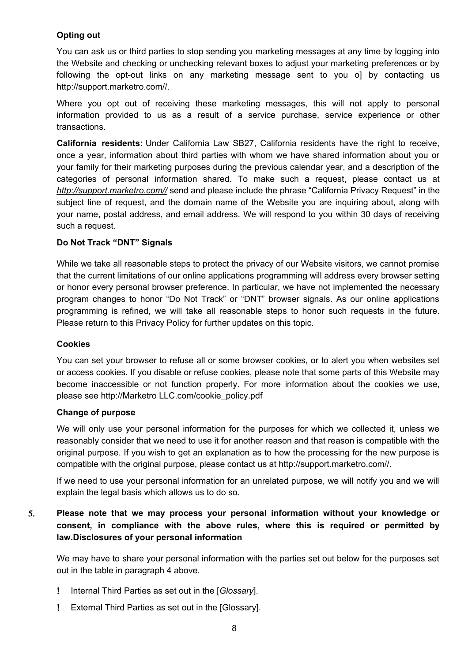# **Opting out**

You can ask us or third parties to stop sending you marketing messages at any time by logging into the Website and checking or unchecking relevant boxes to adjust your marketing preferences or by following the opt-out links on any marketing message sent to you o] by contacting us http://support.marketro.com//.

Where you opt out of receiving these marketing messages, this will not apply to personal information provided to us as a result of a service purchase, service experience or other transactions.

**California residents:** Under California Law SB27, California residents have the right to receive, once a year, information about third parties with whom we have shared information about you or your family for their marketing purposes during the previous calendar year, and a description of the categories of personal information shared. To make such a request, please contact us at *[http://support.marketro.com//](http://support.paydotcom.com/)* send and please include the phrase "California Privacy Request" in the subject line of request, and the domain name of the Website you are inquiring about, along with your name, postal address, and email address. We will respond to you within 30 days of receiving such a request.

### **Do Not Track "DNT" Signals**

While we take all reasonable steps to protect the privacy of our Website visitors, we cannot promise that the current limitations of our online applications programming will address every browser setting or honor every personal browser preference. In particular, we have not implemented the necessary program changes to honor "Do Not Track" or "DNT" browser signals. As our online applications programming is refined, we will take all reasonable steps to honor such requests in the future. Please return to this Privacy Policy for further updates on this topic.

#### **Cookies**

You can set your browser to refuse all or some browser cookies, or to alert you when websites set or access cookies. If you disable or refuse cookies, please note that some parts of this Website may become inaccessible or not function properly. For more information about the cookies we use, please see http://Marketro LLC.com/cookie\_policy.pdf

#### **Change of purpose**

We will only use your personal information for the purposes for which we collected it, unless we reasonably consider that we need to use it for another reason and that reason is compatible with the original purpose. If you wish to get an explanation as to how the processing for the new purpose is compatible with the original purpose, please contact us at http://support.marketro.com//.

If we need to use your personal information for an unrelated purpose, we will notify you and we will explain the legal basis which allows us to do so.

# 5. **Please note that we may process your personal information without your knowledge or consent, in compliance with the above rules, where this is required or permitted by law.Disclosures of your personal information**

<span id="page-8-0"></span>We may have to share your personal information with the parties set out below for the purposes set out in the table in paragraph 4 above.

- Internal Third Parties as set out in the [*Glossary*].
- External Third Parties as set out in the [Glossary].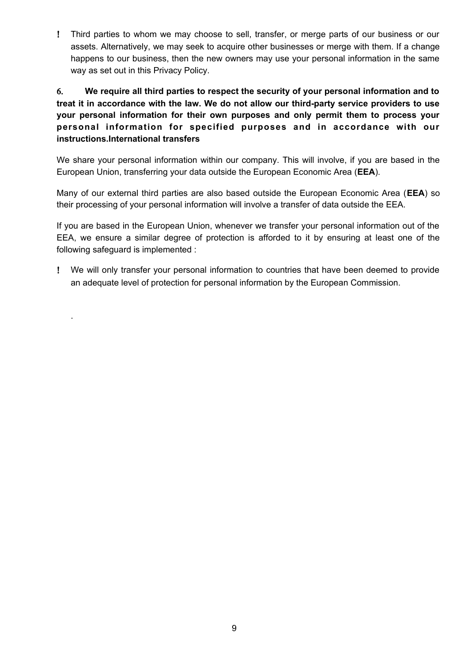Third parties to whom we may choose to sell, transfer, or merge parts of our business or our assets. Alternatively, we may seek to acquire other businesses or merge with them. If a change happens to our business, then the new owners may use your personal information in the same way as set out in this Privacy Policy.

6. **We require all third parties to respect the security of your personal information and to treat it in accordance with the law. We do not allow our third-party service providers to use your personal information for their own purposes and only permit them to process your personal information for specified purposes and in accordance with our instructions.International transfers**

<span id="page-9-0"></span>We share your personal information within our company. This will involve, if you are based in the European Union, transferring your data outside the European Economic Area (**EEA**).

Many of our external third parties are also based outside the European Economic Area (**EEA**) so their processing of your personal information will involve a transfer of data outside the EEA.

If you are based in the European Union, whenever we transfer your personal information out of the EEA, we ensure a similar degree of protection is afforded to it by ensuring at least one of the following safeguard is implemented :

 We will only transfer your personal information to countries that have been deemed to provide an adequate level of protection for personal information by the European Commission.

.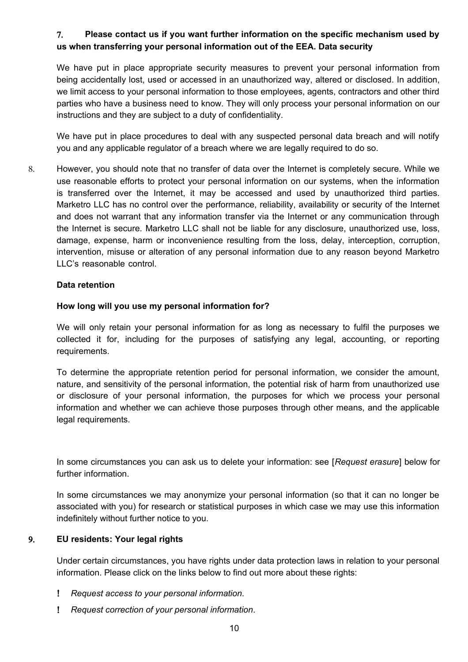# <span id="page-10-2"></span>7. **Please contact us if you want further information on the specific mechanism used by us when transferring your personal information out of the EEA. Data security**

We have put in place appropriate security measures to prevent your personal information from being accidentally lost, used or accessed in an unauthorized way, altered or disclosed. In addition, we limit access to your personal information to those employees, agents, contractors and other third parties who have a business need to know. They will only process your personal information on our instructions and they are subject to a duty of confidentiality.

We have put in place procedures to deal with any suspected personal data breach and will notify you and any applicable regulator of a breach where we are legally required to do so.

8. However, you should note that no transfer of data over the Internet is completely secure. While we use reasonable efforts to protect your personal information on our systems, when the information is transferred over the Internet, it may be accessed and used by unauthorized third parties. Marketro LLC has no control over the performance, reliability, availability or security of the Internet and does not warrant that any information transfer via the Internet or any communication through the Internet is secure. Marketro LLC shall not be liable for any disclosure, unauthorized use, loss, damage, expense, harm or inconvenience resulting from the loss, delay, interception, corruption, intervention, misuse or alteration of any personal information due to any reason beyond Marketro LLC's reasonable control.

### <span id="page-10-1"></span>**Data retention**

#### **How long will you use my personal information for?**

We will only retain your personal information for as long as necessary to fulfil the purposes we collected it for, including for the purposes of satisfying any legal, accounting, or reporting requirements.

To determine the appropriate retention period for personal information, we consider the amount, nature, and sensitivity of the personal information, the potential risk of harm from unauthorized use or disclosure of your personal information, the purposes for which we process your personal information and whether we can achieve those purposes through other means, and the applicable legal requirements.

In some circumstances you can ask us to delete your information: see [*Request erasure*] below for further information.

In some circumstances we may anonymize your personal information (so that it can no longer be associated with you) for research or statistical purposes in which case we may use this information indefinitely without further notice to you.

### 9. **EU residents: Your legal rights**

<span id="page-10-0"></span>Under certain circumstances, you have rights under data protection laws in relation to your personal information. Please click on the links below to find out more about these rights:

- *Request access to your personal information*.
- *Request correction of your personal information*.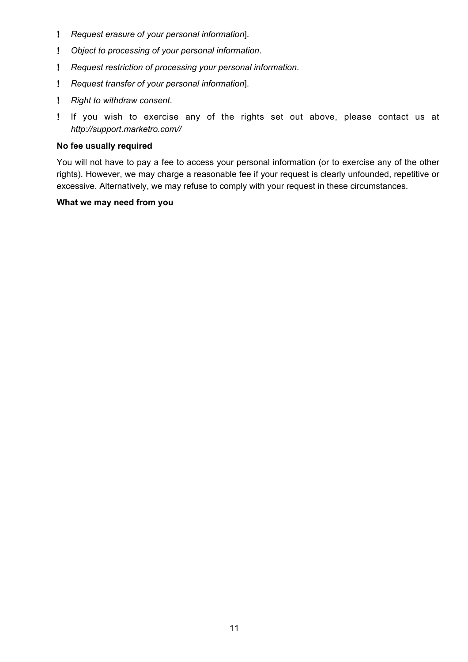- *Request erasure of your personal information*].
- *Object to processing of your personal information*.
- *Request restriction of processing your personal information*.
- *Request transfer of your personal information*].
- *Right to withdraw consent*.
- If you wish to exercise any of the rights set out above, please contact us at *[http://support.marketro.com//](http://support.paydotcom.com/)*

#### **No fee usually required**

You will not have to pay a fee to access your personal information (or to exercise any of the other rights). However, we may charge a reasonable fee if your request is clearly unfounded, repetitive or excessive. Alternatively, we may refuse to comply with your request in these circumstances.

# **What we may need from you**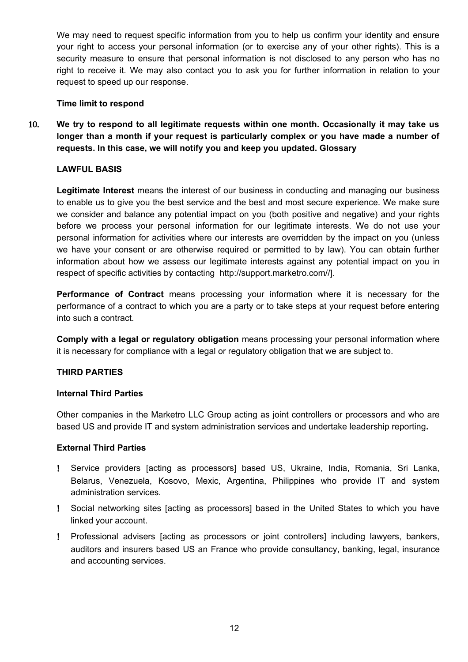We may need to request specific information from you to help us confirm your identity and ensure your right to access your personal information (or to exercise any of your other rights). This is a security measure to ensure that personal information is not disclosed to any person who has no right to receive it. We may also contact you to ask you for further information in relation to your request to speed up our response.

#### **Time limit to respond**

10. **We try to respond to all legitimate requests within one month. Occasionally it may take us longer than a month if your request is particularly complex or you have made a number of requests. In this case, we will notify you and keep you updated. Glossary**

# <span id="page-12-0"></span>**LAWFUL BASIS**

**Legitimate Interest** means the interest of our business in conducting and managing our business to enable us to give you the best service and the best and most secure experience. We make sure we consider and balance any potential impact on you (both positive and negative) and your rights before we process your personal information for our legitimate interests. We do not use your personal information for activities where our interests are overridden by the impact on you (unless we have your consent or are otherwise required or permitted to by law). You can obtain further information about how we assess our legitimate interests against any potential impact on you in respect of specific activities by contacting http://support.marketro.com//].

**Performance of Contract** means processing your information where it is necessary for the performance of a contract to which you are a party or to take steps at your request before entering into such a contract.

**Comply with a legal or regulatory obligation** means processing your personal information where it is necessary for compliance with a legal or regulatory obligation that we are subject to.

# **THIRD PARTIES**

#### **Internal Third Parties**

Other companies in the Marketro LLC Group acting as joint controllers or processors and who are based US and provide IT and system administration services and undertake leadership reporting**.**

#### **External Third Parties**

- Service providers [acting as processors] based US, Ukraine, India, Romania, Sri Lanka, Belarus, Venezuela, Kosovo, Mexic, Argentina, Philippines who provide IT and system administration services.
- Social networking sites [acting as processors] based in the United States to which you have linked your account.
- Professional advisers [acting as processors or joint controllers] including lawyers, bankers, auditors and insurers based US an France who provide consultancy, banking, legal, insurance and accounting services.